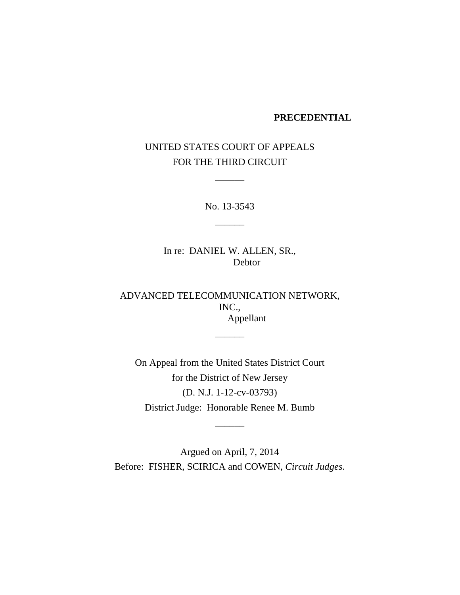### **PRECEDENTIAL**

# UNITED STATES COURT OF APPEALS FOR THE THIRD CIRCUIT

 $\overline{\phantom{a}}$ 

No. 13-3543

 $\overline{\phantom{a}}$ 

In re: DANIEL W. ALLEN, SR., Debtor

ADVANCED TELECOMMUNICATION NETWORK, INC., Appellant

\_\_\_\_\_\_

On Appeal from the United States District Court for the District of New Jersey (D. N.J. 1-12-cv-03793) District Judge: Honorable Renee M. Bumb

 $\overline{\phantom{a}}$ 

Argued on April, 7, 2014 Before: FISHER, SCIRICA and COWEN, *Circuit Judges*.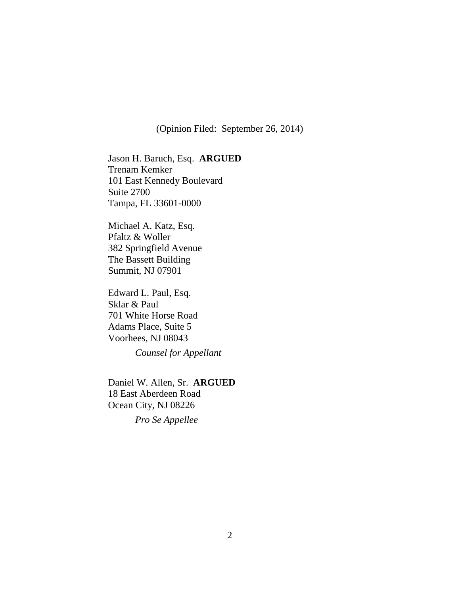(Opinion Filed: September 26, 2014)

Jason H. Baruch, Esq. **ARGUED** Trenam Kemker 101 East Kennedy Boulevard Suite 2700 Tampa, FL 33601-0000

Michael A. Katz, Esq. Pfaltz & Woller 382 Springfield Avenue The Bassett Building Summit, NJ 07901

Edward L. Paul, Esq. Sklar & Paul 701 White Horse Road Adams Place, Suite 5 Voorhees, NJ 08043

*Counsel for Appellant*

<span id="page-1-0"></span>Daniel W. Allen, Sr. **ARGUED** 18 East Aberdeen Road Ocean City, NJ 08226

*Pro Se Appellee*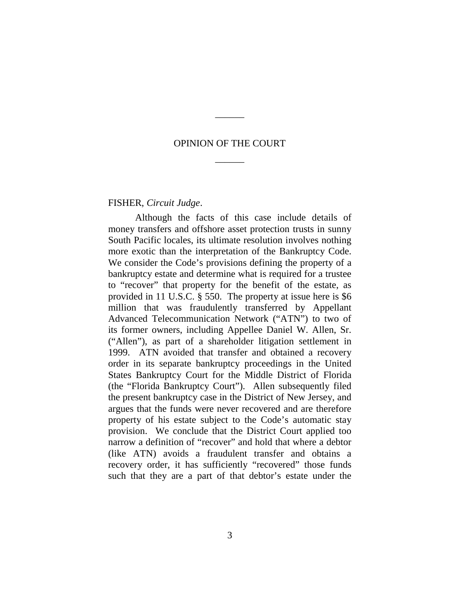### OPINION OF THE COURT

\_\_\_\_\_\_

\_\_\_\_\_\_

### FISHER, *Circuit Judge*.

Although the facts of this case include details of money transfers and offshore asset protection trusts in sunny South Pacific locales, its ultimate resolution involves nothing more exotic than the interpretation of the Bankruptcy Code. We consider the Code's provisions defining the property of a bankruptcy estate and determine what is required for a trustee to "recover" that property for the benefit of the estate, as provided in 11 U.S.C. § 550. The property at issue here is \$6 million that was fraudulently transferred by Appellant Advanced Telecommunication Network ("ATN") to two of its former owners, including Appellee Daniel W. Allen, Sr. ("Allen"), as part of a shareholder litigation settlement in 1999. ATN avoided that transfer and obtained a recovery order in its separate bankruptcy proceedings in the United States Bankruptcy Court for the Middle District of Florida (the "Florida Bankruptcy Court"). Allen subsequently filed the present bankruptcy case in the District of New Jersey, and argues that the funds were never recovered and are therefore property of his estate subject to the Code's automatic stay provision. We conclude that the District Court applied too narrow a definition of "recover" and hold that where a debtor (like ATN) avoids a fraudulent transfer and obtains a recovery order, it has sufficiently "recovered" those funds such that they are a part of that debtor's estate under the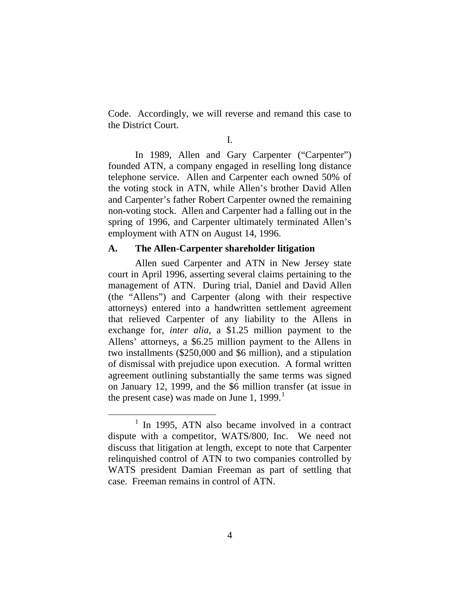Code. Accordingly, we will reverse and remand this case to the District Court.

In 1989, Allen and Gary Carpenter ("Carpenter") founded ATN, a company engaged in reselling long distance telephone service. Allen and Carpenter each owned 50% of the voting stock in ATN, while Allen's brother David Allen and Carpenter's father Robert Carpenter owned the remaining non-voting stock. Allen and Carpenter had a falling out in the spring of 1996, and Carpenter ultimately terminated Allen's employment with ATN on August 14, 1996.

### **A. The Allen-Carpenter shareholder litigation**

Allen sued Carpenter and ATN in New Jersey state court in April 1996, asserting several claims pertaining to the management of ATN. During trial, Daniel and David Allen (the "Allens") and Carpenter (along with their respective attorneys) entered into a handwritten settlement agreement that relieved Carpenter of any liability to the Allens in exchange for, *inter alia*, a \$1.25 million payment to the Allens' attorneys, a \$6.25 million payment to the Allens in two installments (\$250,000 and \$6 million), and a stipulation of dismissal with prejudice upon execution. A formal written agreement outlining substantially the same terms was signed on January 12, 1999, and the \$6 million transfer (at issue in the present case) was made on June [1](#page-1-0),  $1999$ .<sup>1</sup>

<span id="page-3-0"></span> $1$  In 1995, ATN also became involved in a contract dispute with a competitor, WATS/800, Inc. We need not discuss that litigation at length, except to note that Carpenter relinquished control of ATN to two companies controlled by WATS president Damian Freeman as part of settling that case. Freeman remains in control of ATN.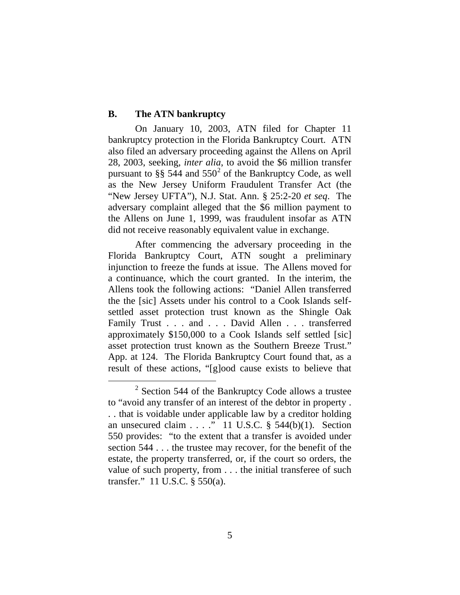#### **B. The ATN bankruptcy**

On January 10, 2003, ATN filed for Chapter 11 bankruptcy protection in the Florida Bankruptcy Court. ATN also filed an adversary proceeding against the Allens on April 28, 2003, seeking, *inter alia*, to avoid the \$6 million transfer pursuant to §§ 544 and  $550<sup>2</sup>$  $550<sup>2</sup>$  $550<sup>2</sup>$  of the Bankruptcy Code, as well as the New Jersey Uniform Fraudulent Transfer Act (the "New Jersey UFTA"), N.J. Stat. Ann. § 25:2-20 *et seq*. The adversary complaint alleged that the \$6 million payment to the Allens on June 1, 1999, was fraudulent insofar as ATN did not receive reasonably equivalent value in exchange.

After commencing the adversary proceeding in the Florida Bankruptcy Court, ATN sought a preliminary injunction to freeze the funds at issue. The Allens moved for a continuance, which the court granted. In the interim, the Allens took the following actions: "Daniel Allen transferred the the [sic] Assets under his control to a Cook Islands selfsettled asset protection trust known as the Shingle Oak Family Trust . . . and . . . David Allen . . . transferred approximately \$150,000 to a Cook Islands self settled [sic] asset protection trust known as the Southern Breeze Trust." App. at 124. The Florida Bankruptcy Court found that, as a result of these actions, "[g]ood cause exists to believe that

<span id="page-4-0"></span> <sup>2</sup> Section 544 of the Bankruptcy Code allows a trustee to "avoid any transfer of an interest of the debtor in property . . . that is voidable under applicable law by a creditor holding an unsecured claim  $\ldots$  ." 11 U.S.C. § 544(b)(1). Section 550 provides: "to the extent that a transfer is avoided under section 544 . . . the trustee may recover, for the benefit of the estate, the property transferred, or, if the court so orders, the value of such property, from . . . the initial transferee of such transfer." 11 U.S.C. § 550(a).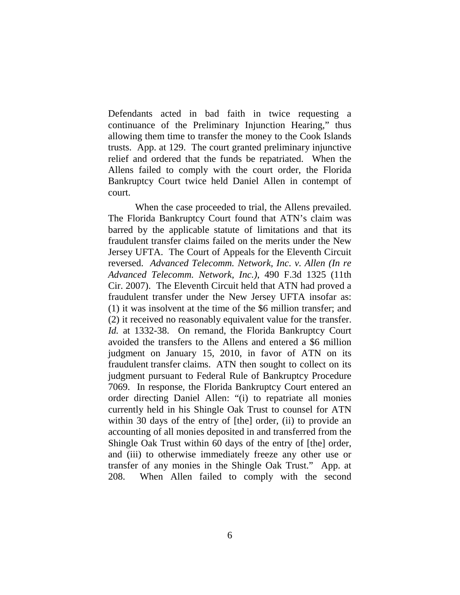Defendants acted in bad faith in twice requesting a continuance of the Preliminary Injunction Hearing," thus allowing them time to transfer the money to the Cook Islands trusts. App. at 129. The court granted preliminary injunctive relief and ordered that the funds be repatriated. When the Allens failed to comply with the court order, the Florida Bankruptcy Court twice held Daniel Allen in contempt of court.

When the case proceeded to trial, the Allens prevailed. The Florida Bankruptcy Court found that ATN's claim was barred by the applicable statute of limitations and that its fraudulent transfer claims failed on the merits under the New Jersey UFTA. The Court of Appeals for the Eleventh Circuit reversed. *Advanced Telecomm. Network, Inc. v. Allen (In re Advanced Telecomm. Network, Inc.)*, 490 F.3d 1325 (11th Cir. 2007). The Eleventh Circuit held that ATN had proved a fraudulent transfer under the New Jersey UFTA insofar as: (1) it was insolvent at the time of the \$6 million transfer; and (2) it received no reasonably equivalent value for the transfer. *Id.* at 1332-38. On remand, the Florida Bankruptcy Court avoided the transfers to the Allens and entered a \$6 million judgment on January 15, 2010, in favor of ATN on its fraudulent transfer claims. ATN then sought to collect on its judgment pursuant to Federal Rule of Bankruptcy Procedure 7069. In response, the Florida Bankruptcy Court entered an order directing Daniel Allen: "(i) to repatriate all monies currently held in his Shingle Oak Trust to counsel for ATN within 30 days of the entry of [the] order, (ii) to provide an accounting of all monies deposited in and transferred from the Shingle Oak Trust within 60 days of the entry of [the] order, and (iii) to otherwise immediately freeze any other use or transfer of any monies in the Shingle Oak Trust." App. at 208. When Allen failed to comply with the second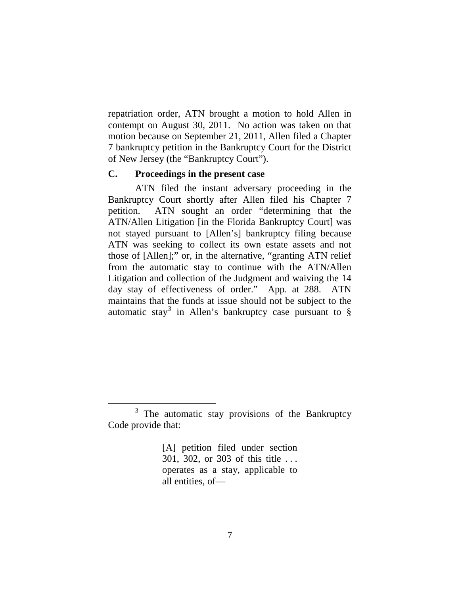repatriation order, ATN brought a motion to hold Allen in contempt on August 30, 2011. No action was taken on that motion because on September 21, 2011, Allen filed a Chapter 7 bankruptcy petition in the Bankruptcy Court for the District of New Jersey (the "Bankruptcy Court").

# **C. Proceedings in the present case**

ATN filed the instant adversary proceeding in the Bankruptcy Court shortly after Allen filed his Chapter 7 petition. ATN sought an order "determining that the ATN/Allen Litigation [in the Florida Bankruptcy Court] was not stayed pursuant to [Allen's] bankruptcy filing because ATN was seeking to collect its own estate assets and not those of [Allen];" or, in the alternative, "granting ATN relief from the automatic stay to continue with the ATN/Allen Litigation and collection of the Judgment and waiving the 14 day stay of effectiveness of order." App. at 288. ATN maintains that the funds at issue should not be subject to the automatic stay<sup>[3](#page-4-0)</sup> in Allen's bankruptcy case pursuant to  $\S$ 

<span id="page-6-0"></span><sup>&</sup>lt;sup>3</sup> The automatic stay provisions of the Bankruptcy Code provide that:

<sup>[</sup>A] petition filed under section 301, 302, or 303 of this title . . . operates as a stay, applicable to all entities, of—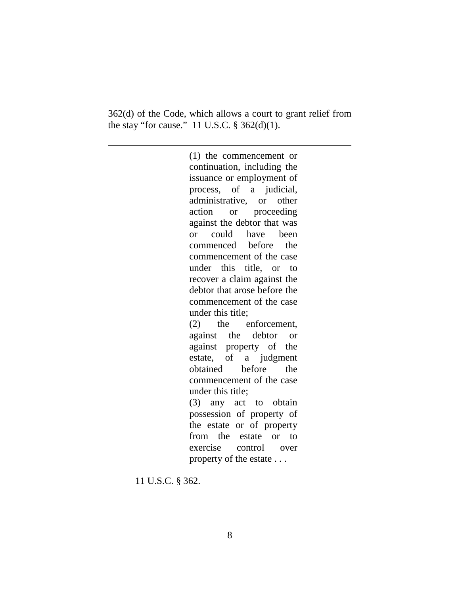362(d) of the Code, which allows a court to grant relief from the stay "for cause." 11 U.S.C. § 362(d)(1).

 $\overline{a}$ 

(1) the commencement or continuation, including the issuance or employment of process, of a judicial, administrative, or other action or proceeding against the debtor that was or could have been commenced before the commencement of the case under this title, or to recover a claim against the debtor that arose before the commencement of the case under this title; (2) the enforcement, against the debtor or against property of the estate, of a judgment obtained before the commencement of the case under this title;

(3) any act to obtain possession of property of the estate or of property from the estate or to exercise control over property of the estate . . .

11 U.S.C. § 362.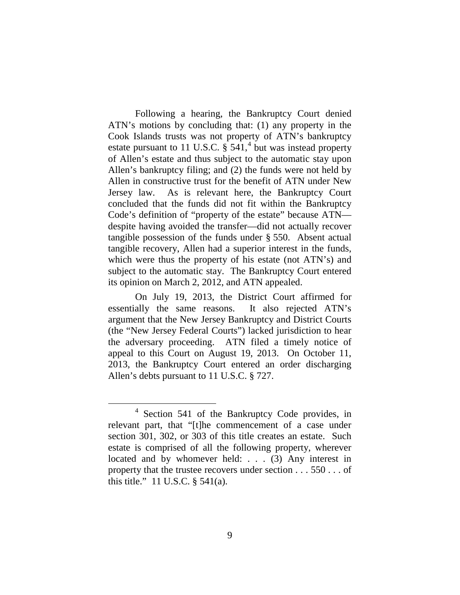Following a hearing, the Bankruptcy Court denied ATN's motions by concluding that: (1) any property in the Cook Islands trusts was not property of ATN's bankruptcy estate pursuant to 11 U.S.C.  $\hat{\S}$  5[4](#page-6-0)1,<sup>4</sup> but was instead property of Allen's estate and thus subject to the automatic stay upon Allen's bankruptcy filing; and (2) the funds were not held by Allen in constructive trust for the benefit of ATN under New Jersey law. As is relevant here, the Bankruptcy Court concluded that the funds did not fit within the Bankruptcy Code's definition of "property of the estate" because ATN despite having avoided the transfer—did not actually recover tangible possession of the funds under § 550. Absent actual tangible recovery, Allen had a superior interest in the funds, which were thus the property of his estate (not ATN's) and subject to the automatic stay. The Bankruptcy Court entered its opinion on March 2, 2012, and ATN appealed.

On July 19, 2013, the District Court affirmed for essentially the same reasons. It also rejected ATN's argument that the New Jersey Bankruptcy and District Courts (the "New Jersey Federal Courts") lacked jurisdiction to hear the adversary proceeding. ATN filed a timely notice of appeal to this Court on August 19, 2013. On October 11, 2013, the Bankruptcy Court entered an order discharging Allen's debts pursuant to 11 U.S.C. § 727.

<span id="page-8-0"></span> <sup>4</sup> Section 541 of the Bankruptcy Code provides, in relevant part, that "[t]he commencement of a case under section 301, 302, or 303 of this title creates an estate. Such estate is comprised of all the following property, wherever located and by whomever held: . . . (3) Any interest in property that the trustee recovers under section . . . 550 . . . of this title." 11 U.S.C. § 541(a).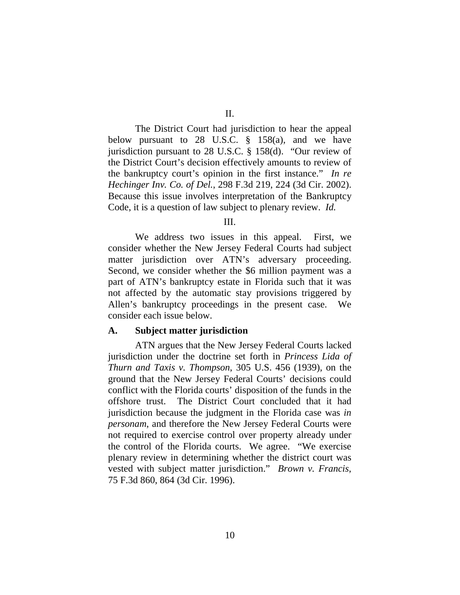The District Court had jurisdiction to hear the appeal below pursuant to 28 U.S.C. § 158(a), and we have jurisdiction pursuant to 28 U.S.C. § 158(d). "Our review of the District Court's decision effectively amounts to review of the bankruptcy court's opinion in the first instance." *In re Hechinger Inv. Co. of Del.*, 298 F.3d 219, 224 (3d Cir. 2002). Because this issue involves interpretation of the Bankruptcy Code, it is a question of law subject to plenary review. *Id.*

III.

We address two issues in this appeal. First, we consider whether the New Jersey Federal Courts had subject matter jurisdiction over ATN's adversary proceeding. Second, we consider whether the \$6 million payment was a part of ATN's bankruptcy estate in Florida such that it was not affected by the automatic stay provisions triggered by Allen's bankruptcy proceedings in the present case. We consider each issue below.

### **A. Subject matter jurisdiction**

ATN argues that the New Jersey Federal Courts lacked jurisdiction under the doctrine set forth in *Princess Lida of Thurn and Taxis v. Thompson*, 305 U.S. 456 (1939), on the ground that the New Jersey Federal Courts' decisions could conflict with the Florida courts' disposition of the funds in the offshore trust. The District Court concluded that it had jurisdiction because the judgment in the Florida case was *in personam*, and therefore the New Jersey Federal Courts were not required to exercise control over property already under the control of the Florida courts. We agree. "We exercise plenary review in determining whether the district court was vested with subject matter jurisdiction." *Brown v. Francis*, 75 F.3d 860, 864 (3d Cir. 1996).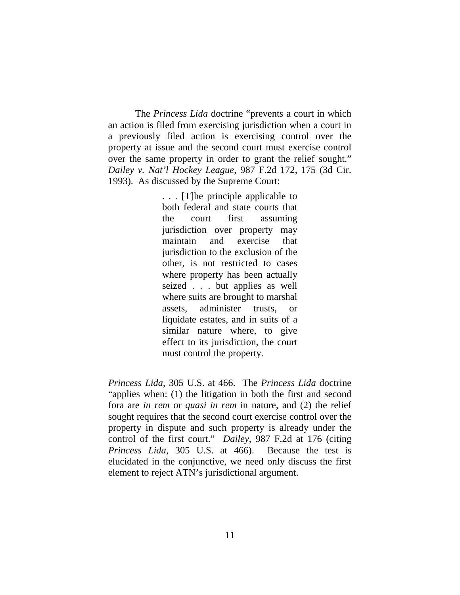The *Princess Lida* doctrine "prevents a court in which an action is filed from exercising jurisdiction when a court in a previously filed action is exercising control over the property at issue and the second court must exercise control over the same property in order to grant the relief sought." *Dailey v. Nat'l Hockey League*, 987 F.2d 172, 175 (3d Cir. 1993). As discussed by the Supreme Court:

> . . . [T]he principle applicable to both federal and state courts that the court first assuming jurisdiction over property may maintain and exercise that jurisdiction to the exclusion of the other, is not restricted to cases where property has been actually seized . . . but applies as well where suits are brought to marshal assets, administer trusts, or liquidate estates, and in suits of a similar nature where, to give effect to its jurisdiction, the court must control the property.

*Princess Lida*, 305 U.S. at 466. The *Princess Lida* doctrine "applies when: (1) the litigation in both the first and second fora are *in rem* or *quasi in rem* in nature, and (2) the relief sought requires that the second court exercise control over the property in dispute and such property is already under the control of the first court." *Dailey*, 987 F.2d at 176 (citing *Princess Lida*, 305 U.S. at 466). Because the test is elucidated in the conjunctive, we need only discuss the first element to reject ATN's jurisdictional argument.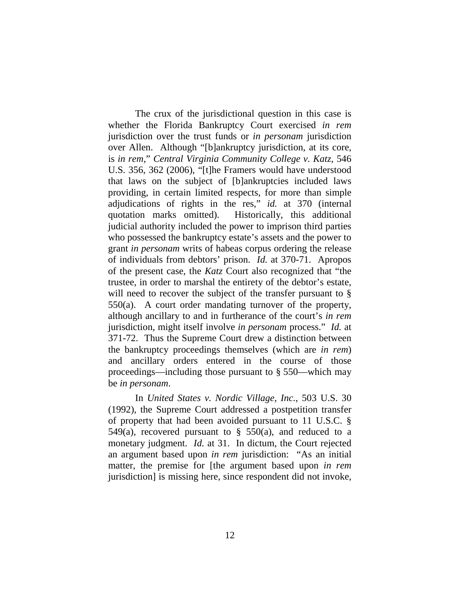The crux of the jurisdictional question in this case is whether the Florida Bankruptcy Court exercised *in rem* jurisdiction over the trust funds or *in personam* jurisdiction over Allen. Although "[b]ankruptcy jurisdiction, at its core, is *in rem*," *Central Virginia Community College v. Katz*, 546 U.S. 356, 362 (2006), "[t]he Framers would have understood that laws on the subject of [b]ankruptcies included laws providing, in certain limited respects, for more than simple adjudications of rights in the res," *id.* at 370 (internal quotation marks omitted). Historically, this additional judicial authority included the power to imprison third parties who possessed the bankruptcy estate's assets and the power to grant *in personam* writs of habeas corpus ordering the release of individuals from debtors' prison. *Id.* at 370-71. Apropos of the present case, the *Katz* Court also recognized that "the trustee, in order to marshal the entirety of the debtor's estate, will need to recover the subject of the transfer pursuant to  $\S$ 550(a). A court order mandating turnover of the property, although ancillary to and in furtherance of the court's *in rem* jurisdiction, might itself involve *in personam* process." *Id.* at 371-72. Thus the Supreme Court drew a distinction between the bankruptcy proceedings themselves (which are *in rem*) and ancillary orders entered in the course of those proceedings—including those pursuant to § 550—which may be *in personam*.

In *United States v. Nordic Village, Inc.*, 503 U.S. 30 (1992), the Supreme Court addressed a postpetition transfer of property that had been avoided pursuant to 11 U.S.C. § 549(a), recovered pursuant to  $\S$  550(a), and reduced to a monetary judgment. *Id.* at 31. In dictum, the Court rejected an argument based upon *in rem* jurisdiction: "As an initial matter, the premise for [the argument based upon *in rem* jurisdiction] is missing here, since respondent did not invoke,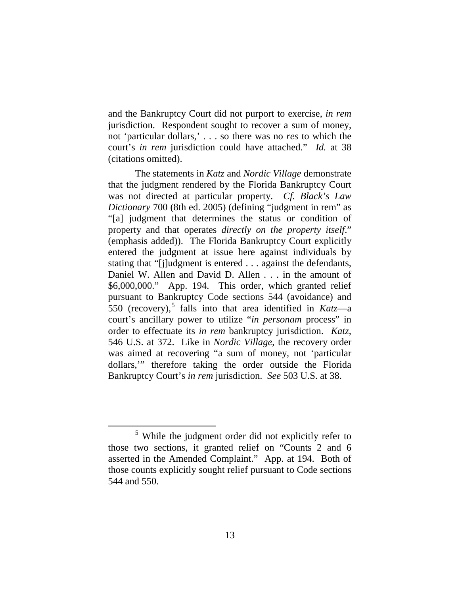and the Bankruptcy Court did not purport to exercise, *in rem* jurisdiction. Respondent sought to recover a sum of money, not 'particular dollars,' . . . so there was no *res* to which the court's *in rem* jurisdiction could have attached." *Id.* at 38 (citations omitted).

The statements in *Katz* and *Nordic Village* demonstrate that the judgment rendered by the Florida Bankruptcy Court was not directed at particular property. *Cf. Black's Law Dictionary* 700 (8th ed. 2005) (defining "judgment in rem" as "[a] judgment that determines the status or condition of property and that operates *directly on the property itself*." (emphasis added)). The Florida Bankruptcy Court explicitly entered the judgment at issue here against individuals by stating that "[j]udgment is entered . . . against the defendants, Daniel W. Allen and David D. Allen . . . in the amount of \$6,000,000." App. 194. This order, which granted relief pursuant to Bankruptcy Code sections 544 (avoidance) and [5](#page-8-0)50 (recovery),<sup>5</sup> falls into that area identified in  $Katz$ —a court's ancillary power to utilize "*in personam* process" in order to effectuate its *in rem* bankruptcy jurisdiction. *Katz*, 546 U.S. at 372. Like in *Nordic Village*, the recovery order was aimed at recovering "a sum of money, not 'particular dollars,'" therefore taking the order outside the Florida Bankruptcy Court's *in rem* jurisdiction. *See* 503 U.S. at 38.

<span id="page-12-0"></span> $<sup>5</sup>$  While the judgment order did not explicitly refer to</sup> those two sections, it granted relief on "Counts 2 and 6 asserted in the Amended Complaint." App. at 194. Both of those counts explicitly sought relief pursuant to Code sections 544 and 550.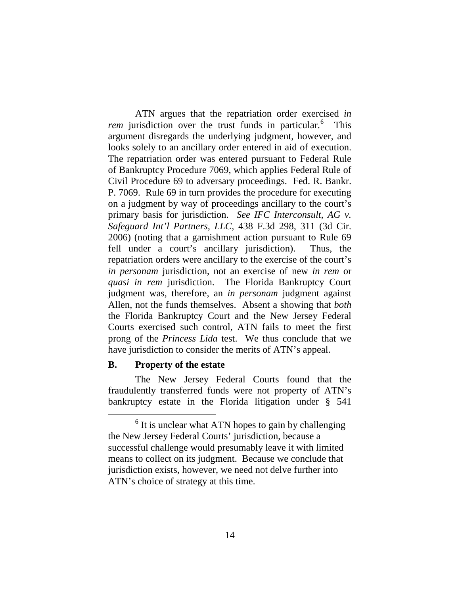ATN argues that the repatriation order exercised *in*  rem jurisdiction over the trust funds in particular.<sup>[6](#page-12-0)</sup> This argument disregards the underlying judgment, however, and looks solely to an ancillary order entered in aid of execution. The repatriation order was entered pursuant to Federal Rule of Bankruptcy Procedure 7069, which applies Federal Rule of Civil Procedure 69 to adversary proceedings. Fed. R. Bankr. P. 7069. Rule 69 in turn provides the procedure for executing on a judgment by way of proceedings ancillary to the court's primary basis for jurisdiction. *See IFC Interconsult, AG v. Safeguard Int'l Partners, LLC*, 438 F.3d 298, 311 (3d Cir. 2006) (noting that a garnishment action pursuant to Rule 69 fell under a court's ancillary jurisdiction). Thus, the repatriation orders were ancillary to the exercise of the court's *in personam* jurisdiction, not an exercise of new *in rem* or *quasi in rem* jurisdiction. The Florida Bankruptcy Court judgment was, therefore, an *in personam* judgment against Allen, not the funds themselves. Absent a showing that *both* the Florida Bankruptcy Court and the New Jersey Federal Courts exercised such control, ATN fails to meet the first prong of the *Princess Lida* test. We thus conclude that we have jurisdiction to consider the merits of ATN's appeal.

## <span id="page-13-0"></span>**B. Property of the estate**

The New Jersey Federal Courts found that the fraudulently transferred funds were not property of ATN's bankruptcy estate in the Florida litigation under § 541

 $6$  It is unclear what ATN hopes to gain by challenging the New Jersey Federal Courts' jurisdiction, because a successful challenge would presumably leave it with limited means to collect on its judgment. Because we conclude that jurisdiction exists, however, we need not delve further into ATN's choice of strategy at this time.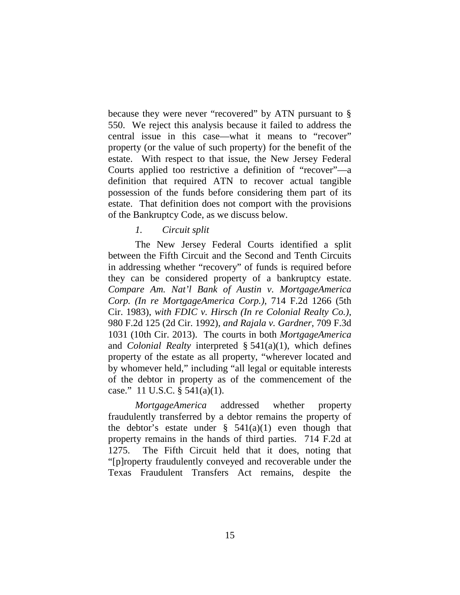because they were never "recovered" by ATN pursuant to § 550. We reject this analysis because it failed to address the central issue in this case—what it means to "recover" property (or the value of such property) for the benefit of the estate. With respect to that issue, the New Jersey Federal Courts applied too restrictive a definition of "recover"—a definition that required ATN to recover actual tangible possession of the funds before considering them part of its estate. That definition does not comport with the provisions of the Bankruptcy Code, as we discuss below.

# *1. Circuit split*

The New Jersey Federal Courts identified a split between the Fifth Circuit and the Second and Tenth Circuits in addressing whether "recovery" of funds is required before they can be considered property of a bankruptcy estate. *Compare Am. Nat'l Bank of Austin v. MortgageAmerica Corp. (In re MortgageAmerica Corp.)*, 714 F.2d 1266 (5th Cir. 1983), *with FDIC v. Hirsch (In re Colonial Realty Co.)*, 980 F.2d 125 (2d Cir. 1992), *and Rajala v. Gardner*, 709 F.3d 1031 (10th Cir. 2013). The courts in both *MortgageAmerica* and *Colonial Realty* interpreted § 541(a)(1), which defines property of the estate as all property, "wherever located and by whomever held," including "all legal or equitable interests of the debtor in property as of the commencement of the case." 11 U.S.C.  $\S$  541(a)(1).

*MortgageAmerica* addressed whether property fraudulently transferred by a debtor remains the property of the debtor's estate under  $\S$  541(a)(1) even though that property remains in the hands of third parties. 714 F.2d at 1275. The Fifth Circuit held that it does, noting that "[p]roperty fraudulently conveyed and recoverable under the Texas Fraudulent Transfers Act remains, despite the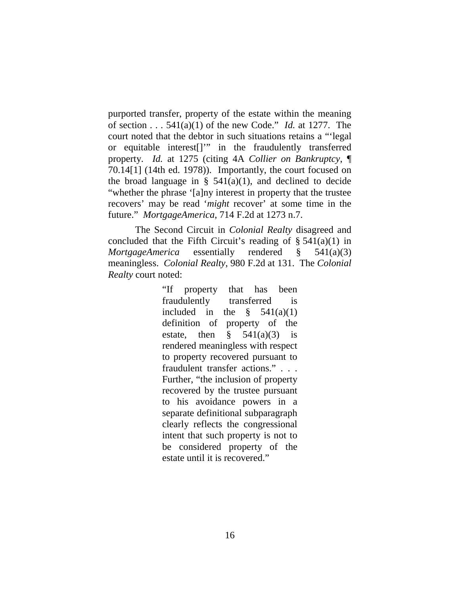purported transfer, property of the estate within the meaning of section . . . 541(a)(1) of the new Code." *Id.* at 1277. The court noted that the debtor in such situations retains a "'legal or equitable interest[]'" in the fraudulently transferred property. *Id.* at 1275 (citing 4A *Collier on Bankruptcy*, ¶ 70.14[1] (14th ed. 1978)). Importantly, the court focused on the broad language in §  $541(a)(1)$ , and declined to decide "whether the phrase '[a]ny interest in property that the trustee recovers' may be read '*might* recover' at some time in the future." *MortgageAmerica*, 714 F.2d at 1273 n.7.

The Second Circuit in *Colonial Realty* disagreed and concluded that the Fifth Circuit's reading of  $\S$  541(a)(1) in *MortgageAmerica* essentially rendered § 541(a)(3) meaningless. *Colonial Realty*, 980 F.2d at 131. The *Colonial Realty* court noted:

> "If property that has been fraudulently transferred is included in the  $\frac{8}{541(a)(1)}$ definition of property of the estate, then  $\hat{S}$  541(a)(3) is rendered meaningless with respect to property recovered pursuant to fraudulent transfer actions." . . . Further, "the inclusion of property recovered by the trustee pursuant to his avoidance powers in a separate definitional subparagraph clearly reflects the congressional intent that such property is not to be considered property of the estate until it is recovered."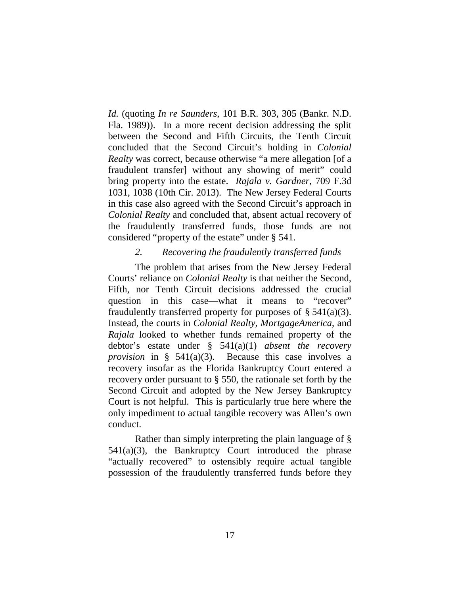*Id.* (quoting *In re Saunders*, 101 B.R. 303, 305 (Bankr. N.D. Fla. 1989)). In a more recent decision addressing the split between the Second and Fifth Circuits, the Tenth Circuit concluded that the Second Circuit's holding in *Colonial Realty* was correct, because otherwise "a mere allegation [of a fraudulent transfer] without any showing of merit" could bring property into the estate. *Rajala v. Gardner*, 709 F.3d 1031, 1038 (10th Cir. 2013). The New Jersey Federal Courts in this case also agreed with the Second Circuit's approach in *Colonial Realty* and concluded that, absent actual recovery of the fraudulently transferred funds, those funds are not considered "property of the estate" under § 541.

# *2. Recovering the fraudulently transferred funds*

The problem that arises from the New Jersey Federal Courts' reliance on *Colonial Realty* is that neither the Second, Fifth, nor Tenth Circuit decisions addressed the crucial question in this case—what it means to "recover" fraudulently transferred property for purposes of  $\S$  541(a)(3). Instead, the courts in *Colonial Realty*, *MortgageAmerica*, and *Rajala* looked to whether funds remained property of the debtor's estate under § 541(a)(1) *absent the recovery provision* in § 541(a)(3). Because this case involves a recovery insofar as the Florida Bankruptcy Court entered a recovery order pursuant to § 550, the rationale set forth by the Second Circuit and adopted by the New Jersey Bankruptcy Court is not helpful. This is particularly true here where the only impediment to actual tangible recovery was Allen's own conduct.

Rather than simply interpreting the plain language of §  $541(a)(3)$ , the Bankruptcy Court introduced the phrase "actually recovered" to ostensibly require actual tangible possession of the fraudulently transferred funds before they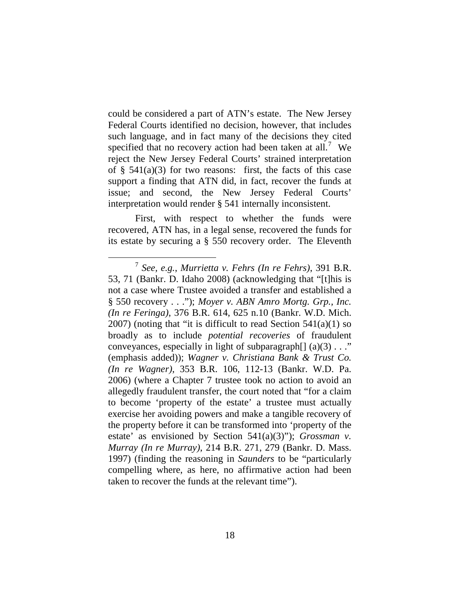could be considered a part of ATN's estate. The New Jersey Federal Courts identified no decision, however, that includes such language, and in fact many of the decisions they cited specified that no recovery action had been taken at all.<sup>[7](#page-13-0)</sup> We reject the New Jersey Federal Courts' strained interpretation of  $\S$  541(a)(3) for two reasons: first, the facts of this case support a finding that ATN did, in fact, recover the funds at issue; and second, the New Jersey Federal Courts' interpretation would render § 541 internally inconsistent.

First, with respect to whether the funds were recovered, ATN has, in a legal sense, recovered the funds for its estate by securing a § 550 recovery order. The Eleventh

<span id="page-17-0"></span> <sup>7</sup> *See, e.g.*, *Murrietta v. Fehrs (In re Fehrs)*, 391 B.R. 53, 71 (Bankr. D. Idaho 2008) (acknowledging that "[t]his is not a case where Trustee avoided a transfer and established a § 550 recovery . . ."); *Moyer v. ABN Amro Mortg. Grp., Inc. (In re Feringa)*, 376 B.R. 614, 625 n.10 (Bankr. W.D. Mich. 2007) (noting that "it is difficult to read Section  $541(a)(1)$  so broadly as to include *potential recoveries* of fraudulent conveyances, especially in light of subparagraph $[ (a)(3) \dots$ " (emphasis added)); *Wagner v. Christiana Bank & Trust Co. (In re Wagner)*, 353 B.R. 106, 112-13 (Bankr. W.D. Pa. 2006) (where a Chapter 7 trustee took no action to avoid an allegedly fraudulent transfer, the court noted that "for a claim to become 'property of the estate' a trustee must actually exercise her avoiding powers and make a tangible recovery of the property before it can be transformed into 'property of the estate' as envisioned by Section 541(a)(3)"); *Grossman v. Murray (In re Murray)*, 214 B.R. 271, 279 (Bankr. D. Mass. 1997) (finding the reasoning in *Saunders* to be "particularly compelling where, as here, no affirmative action had been taken to recover the funds at the relevant time").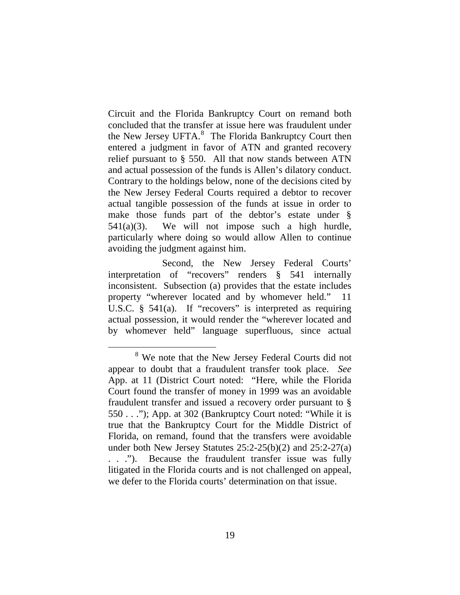Circuit and the Florida Bankruptcy Court on remand both concluded that the transfer at issue here was fraudulent under the New Jersey UFTA.<sup>[8](#page-17-0)</sup> The Florida Bankruptcy Court then entered a judgment in favor of ATN and granted recovery relief pursuant to § 550. All that now stands between ATN and actual possession of the funds is Allen's dilatory conduct. Contrary to the holdings below, none of the decisions cited by the New Jersey Federal Courts required a debtor to recover actual tangible possession of the funds at issue in order to make those funds part of the debtor's estate under § 541(a)(3). We will not impose such a high hurdle, particularly where doing so would allow Allen to continue avoiding the judgment against him.

Second, the New Jersey Federal Courts' interpretation of "recovers" renders § 541 internally inconsistent. Subsection (a) provides that the estate includes property "wherever located and by whomever held." 11 U.S.C. § 541(a). If "recovers" is interpreted as requiring actual possession, it would render the "wherever located and by whomever held" language superfluous, since actual

<span id="page-18-0"></span> <sup>8</sup> We note that the New Jersey Federal Courts did not appear to doubt that a fraudulent transfer took place. *See* App. at 11 (District Court noted: "Here, while the Florida Court found the transfer of money in 1999 was an avoidable fraudulent transfer and issued a recovery order pursuant to § 550 . . ."); App. at 302 (Bankruptcy Court noted: "While it is true that the Bankruptcy Court for the Middle District of Florida, on remand, found that the transfers were avoidable under both New Jersey Statutes 25:2-25(b)(2) and 25:2-27(a) . . ."). Because the fraudulent transfer issue was fully litigated in the Florida courts and is not challenged on appeal, we defer to the Florida courts' determination on that issue.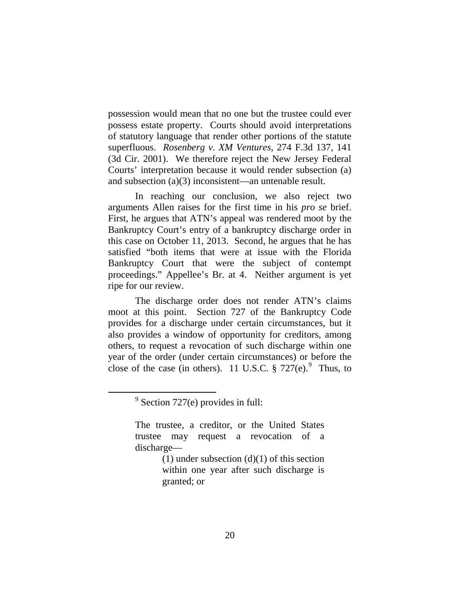possession would mean that no one but the trustee could ever possess estate property. Courts should avoid interpretations of statutory language that render other portions of the statute superfluous. *Rosenberg v. XM Ventures*, 274 F.3d 137, 141 (3d Cir. 2001). We therefore reject the New Jersey Federal Courts' interpretation because it would render subsection (a) and subsection (a)(3) inconsistent—an untenable result.

In reaching our conclusion, we also reject two arguments Allen raises for the first time in his *pro se* brief. First, he argues that ATN's appeal was rendered moot by the Bankruptcy Court's entry of a bankruptcy discharge order in this case on October 11, 2013. Second, he argues that he has satisfied "both items that were at issue with the Florida Bankruptcy Court that were the subject of contempt proceedings." Appellee's Br. at 4. Neither argument is yet ripe for our review.

The discharge order does not render ATN's claims moot at this point. Section 727 of the Bankruptcy Code provides for a discharge under certain circumstances, but it also provides a window of opportunity for creditors, among others, to request a revocation of such discharge within one year of the order (under certain circumstances) or before the close of the case (in others). 11 U.S.C.  $\S 727(e)$ . Thus, to

 $9$  Section 727(e) provides in full:

The trustee, a creditor, or the United States trustee may request a revocation of a discharge—

 $(1)$  under subsection  $(d)(1)$  of this section within one year after such discharge is granted; or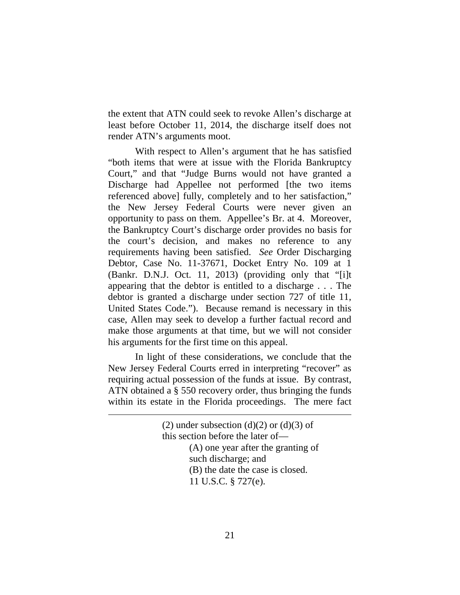the extent that ATN could seek to revoke Allen's discharge at least before October 11, 2014, the discharge itself does not render ATN's arguments moot.

With respect to Allen's argument that he has satisfied "both items that were at issue with the Florida Bankruptcy Court," and that "Judge Burns would not have granted a Discharge had Appellee not performed [the two items referenced above] fully, completely and to her satisfaction," the New Jersey Federal Courts were never given an opportunity to pass on them. Appellee's Br. at 4. Moreover, the Bankruptcy Court's discharge order provides no basis for the court's decision, and makes no reference to any requirements having been satisfied. *See* Order Discharging Debtor, Case No. 11-37671, Docket Entry No. 109 at 1 (Bankr. D.N.J. Oct. 11, 2013) (providing only that "[i]t appearing that the debtor is entitled to a discharge . . . The debtor is granted a discharge under section 727 of title 11, United States Code."). Because remand is necessary in this case, Allen may seek to develop a further factual record and make those arguments at that time, but we will not consider his arguments for the first time on this appeal.

In light of these considerations, we conclude that the New Jersey Federal Courts erred in interpreting "recover" as requiring actual possession of the funds at issue. By contrast, ATN obtained a § 550 recovery order, thus bringing the funds within its estate in the Florida proceedings. The mere fact

 $\overline{a}$ 

(A) one year after the granting of such discharge; and (B) the date the case is closed. 11 U.S.C. § 727(e).

<sup>(2)</sup> under subsection (d)(2) or (d)(3) of this section before the later of—